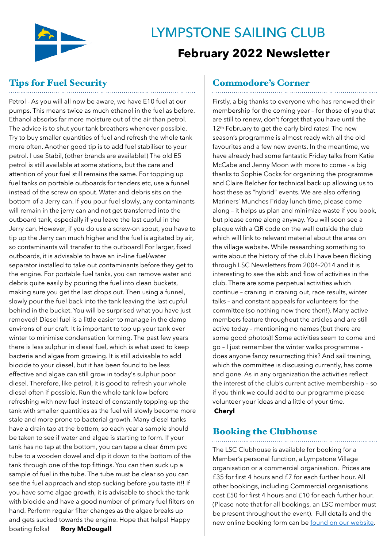

# **LYMPSTONE SAILING CLUB February 2022 Newsletter**

# Tips for Fuel Security

Petrol - As you will all now be aware, we have E10 fuel at our pumps. This means twice as much ethanol in the fuel as before. Ethanol absorbs far more moisture out of the air than petrol. The advice is to shut your tank breathers whenever possible. Try to buy smaller quantities of fuel and refresh the whole tank more often. Another good tip is to add fuel stabiliser to your petrol. I use Stabil, (other brands are available!) The old E5 petrol is still available at some stations, but the care and attention of your fuel still remains the same. For topping up fuel tanks on portable outboards for tenders etc, use a funnel instead of the screw on spout. Water and debris sits on the bottom of a Jerry can. If you pour fuel slowly, any contaminants will remain in the jerry can and not get transferred into the outboard tank, especially if you leave the last cupful in the Jerry can. However, if you do use a screw-on spout, you have to tip up the Jerry can much higher and the fuel is agitated by air, so contaminants will transfer to the outboard! For larger, fixed outboards, it is advisable to have an in-line fuel/water separator installed to take out contaminants before they get to the engine. For portable fuel tanks, you can remove water and debris quite easily by pouring the fuel into clean buckets, making sure you get the last drops out. Then using a funnel, slowly pour the fuel back into the tank leaving the last cupful behind in the bucket. You will be surprised what you have just removed! Diesel fuel is a little easier to manage in the damp environs of our craft. It is important to top up your tank over winter to minimise condensation forming. The past few years there is less sulphur in diesel fuel, which is what used to keep bacteria and algae from growing. It is still advisable to add biocide to your diesel, but it has been found to be less effective and algae can still grow in today's sulphur poor diesel. Therefore, like petrol, it is good to refresh your whole diesel often if possible. Run the whole tank low before refreshing with new fuel instead of constantly topping-up the tank with smaller quantities as the fuel will slowly become more stale and more prone to bacterial growth. Many diesel tanks have a drain tap at the bottom, so each year a sample should be taken to see if water and algae is starting to form. If your tank has no tap at the bottom, you can tape a clear 6mm pvc tube to a wooden dowel and dip it down to the bottom of the tank through one of the top fittings. You can then suck up a sample of fuel in the tube. The tube must be clear so you can see the fuel approach and stop sucking before you taste it!! If you have some algae growth, it is advisable to shock the tank with biocide and have a good number of primary fuel filters on hand. Perform regular filter changes as the algae breaks up and gets sucked towards the engine. Hope that helps! Happy boating folks! **Rory McDougall**

## Commodore's Corner

Firstly, a big thanks to everyone who has renewed their membership for the coming year – for those of you that are still to renew, don't forget that you have until the 12<sup>th</sup> February to get the early bird rates! The new season's programme is almost ready with all the old favourites and a few new events. In the meantime, we have already had some fantastic Friday talks from Katie McCabe and Jenny Moon with more to come - a big thanks to Sophie Cocks for organizing the programme and Claire Belcher for technical back up allowing us to host these as "hybrid" events. We are also offering Mariners' Munches Friday lunch time, please come along – it helps us plan and minimize waste if you book, but please come along anyway. You will soon see a plaque with a QR code on the wall outside the club which will link to relevant material about the area on the village website. While researching something to write about the history of the club I have been flicking through LSC Newsletters from 2004-2014 and it is interesting to see the ebb and flow of activities in the club. There are some perpetual activities which continue – craning in craning out, race results, winter talks – and constant appeals for volunteers for the committee (so nothing new there then!). Many active members feature throughout the articles and are still active today – mentioning no names (but there are some good photos)! Some activities seem to come and go – I just remember the winter walks programme – does anyone fancy resurrecting this? And sail training, which the committee is discussing currently, has come and gone. As in any organization the activities reflect the interest of the club's current active membership – so if you think we could add to our programme please volunteer your ideas and a little of your time. **Cheryl** 

#### Booking the Clubhouse

The LSC Clubhouse is available for booking for a Member's personal function, a Lympstone Village organisation or a commercial organisation. Prices are £35 for first 4 hours and £7 for each further hour. All other bookings, including Commercial organisations cost £50 for first 4 hours and £10 for each further hour. (Please note that for all bookings, an LSC member must be present throughout the event). Full details and the new online booking form can be [found on our website.](https://www.lympstonesailingclub.co.uk/clubhouse-room-hire/)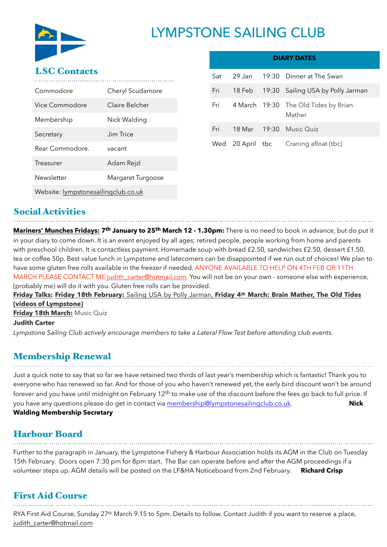

# **LYMPSTONE SAILING CLUB**

#### LSC Contacts

| Commodore                           | Cheryl Scudamore  |  |
|-------------------------------------|-------------------|--|
| Vice Commodore                      | Claire Belcher    |  |
| Membership                          | Nick Walding      |  |
| Secretary                           | Jim Trice         |  |
| Rear Commodore.                     | vacant            |  |
| Treasurer                           | Adam Rejzl        |  |
| Newsletter                          | Margaret Turgoose |  |
| Website: lympstonesailingclub.co.uk |                   |  |

| <b>DIARY DATES</b> |        |  |                                                |
|--------------------|--------|--|------------------------------------------------|
| Sat                |        |  | 29 Jan 19:30 Dinner at The Swan                |
| Fri                | 18 Feb |  | 19:30 Sailing USA by Polly Jarman              |
| Fri                |        |  | 4 March 19:30 The Old Tides by Brian<br>Mather |
| Fri                |        |  | 18 Mar 19:30 Music Quiz                        |
| Wed                |        |  | 20 April tbc Craning afloat (tbc)              |

### Social Activities

**Mariners' Munches Fridays: 7th January to 25th March 12 - 1.30pm:** There is no need to book in advance, but do put it in your diary to come down. It is an event enjoyed by all ages; retired people, people working from home and parents with preschool children. It is contactless payment. Homemade soup with bread £2.50, sandwiches £2.50, dessert £1.50, tea or coffee 50p. Best value lunch in Lympstone and latecomers can be disappointed if we run out of choices! We plan to have some gluten free rolls available in the freezer if needed. ANYONE AVAILABLE TO HELP ON 4TH FEB OR 11TH MARCH PLEASE CONTACT ME [judith\\_carter@hotmail.com.](mailto:judith_carter@hotmail.com) You will not be on your own - someone else with experience, (probably me) will do it with you. Gluten free rolls can be provided.

#### **Friday Talks: Friday 18th February:** Sailing USA by Polly Jarman, **Friday 4th March: Brain Mather, The Old Tides (videos of Lympstone)**

**Friday 18th March:** Music Quiz

#### **Judith Carter**

*Lympstone Sailing Club actively encourage members to take a Lateral Flow Test before attending club events.*

#### Membership Renewal

Just a quick note to say that so far we have retained two thirds of last year's membership which is fantastic! Thank you to everyone who has renewed so far. And for those of you who haven't renewed yet, the early bird discount won't be around forever and you have until midnight on February  $12<sup>th</sup>$  to make use of the discount before the fees go back to full price. If you have any questions please do get in contact via [membership@lympstonesailingclub.co.uk.](mailto:membership@lympstonesailingclub.co.uk) **Nick Walding Membership Secretary**

### Harbour Board

Further to the paragraph in January, the Lympstone Fishery & Harbour Association holds its AGM in the Club on Tuesday 15th February. Doors open 7:30 pm for 8pm start. The Bar can operate before and after the AGM proceedings if a volunteer steps up. AGM details will be posted on the LF&HA Noticeboard from 2nd February. **Richard Crisp**

### First Aid Course

RYA First Aid Course, Sunday 27th March 9.15 to 5pm. Details to follow. Contact Judith if you want to reserve a place, [judith\\_carter@hotmail.com](mailto:judith_carter@hotmail.com)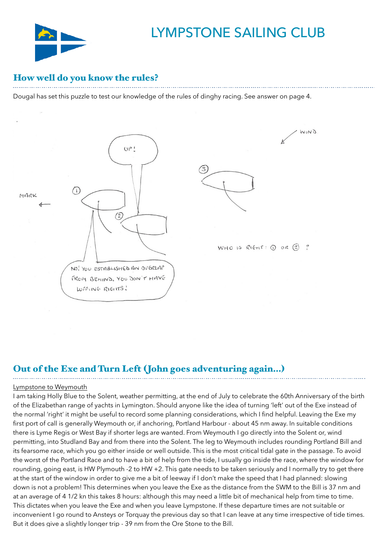

## LYMPSTONE SAILING CLUB

#### How well do you know the rules?

Dougal has set this puzzle to test our knowledge of the rules of dinghy racing. See answer on page 4.



### Out of the Exe and Turn Left (John goes adventuring again…)

#### Lympstone to Weymouth

I am taking Holly Blue to the Solent, weather permitting, at the end of July to celebrate the 60th Anniversary of the birth of the Elizabethan range of yachts in Lymington. Should anyone like the idea of turning 'left' out of the Exe instead of the normal 'right' it might be useful to record some planning considerations, which I find helpful. Leaving the Exe my first port of call is generally Weymouth or, if anchoring, Portland Harbour - about 45 nm away. In suitable conditions there is Lyme Regis or West Bay if shorter legs are wanted. From Weymouth I go directly into the Solent or, wind permitting, into Studland Bay and from there into the Solent. The leg to Weymouth includes rounding Portland Bill and its fearsome race, which you go either inside or well outside. This is the most critical tidal gate in the passage. To avoid the worst of the Portland Race and to have a bit of help from the tide, I usually go inside the race, where the window for rounding, going east, is HW Plymouth -2 to HW +2. This gate needs to be taken seriously and I normally try to get there at the start of the window in order to give me a bit of leeway if I don't make the speed that I had planned: slowing down is not a problem! This determines when you leave the Exe as the distance from the SWM to the Bill is 37 nm and at an average of 4 1/2 kn this takes 8 hours: although this may need a little bit of mechanical help from time to time. This dictates when you leave the Exe and when you leave Lympstone. If these departure times are not suitable or inconvenient I go round to Ansteys or Torquay the previous day so that I can leave at any time irrespective of tide times. But it does give a slightly longer trip - 39 nm from the Ore Stone to the Bill.